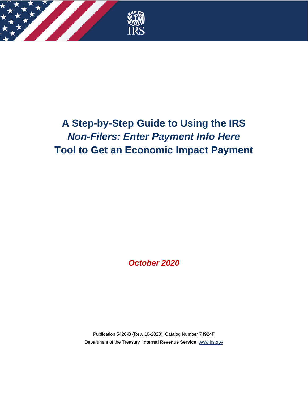

# **A Step-by-Step Guide to Using the IRS** *Non-Filers: Enter Payment Info Here* **Tool to Get an Economic Impact Payment**

*October 2020*

Publication 5420-B (Rev. 10-2020) Catalog Number 74924F Department of the Treasury **Internal Revenue Service** [www.irs.gov](http://www.irs.gov/)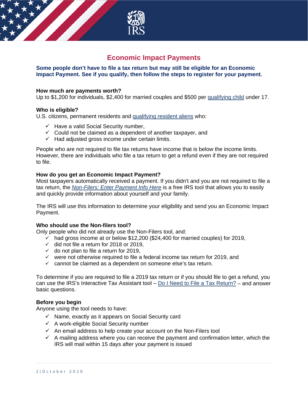

# **Economic Impact Payments**

### **Some people don't have to file a tax return but may still be eligible for an Economic Impact Payment. See if you qualify, then follow the steps to register for your payment.**

#### **How much are payments worth?**

Up to \$1,200 for individuals, \$2,400 for married couples and \$500 per [qualifying child](https://www.irs.gov/newsroom/economic-impact-payments-qualifying-child-requirements) under 17.

#### **Who is eligible?**

U.S. citizens, permanent residents and [qualifying resident aliens](https://www.irs.gov/individuals/international-taxpayers/determining-alien-tax-status) who:

- $\checkmark$  Have a valid Social Security number,
- $\checkmark$  Could not be claimed as a dependent of another taxpayer, and
- $\checkmark$  Had adjusted gross income under certain limits.

People who are not required to file tax returns have income that is below the income limits. However, there are individuals who file a tax return to get a refund even if they are not required to file.

#### **How do you get an Economic Impact Payment?**

Most taxpayers automatically received a payment. If you didn't and you are not required to file a tax return, the *[Non-Filers: Enter Payment Info Here](https://www.irs.gov/coronavirus/non-filers-enter-payment-info-here#type=page&event=load&url=https%3A%2F%2Fwww.irs.gov%2Fcoronavirus%2Fnon-filers-enter-payment-info-here&referrer=&no_3p=1)* is a free IRS tool that allows you to easily and quickly provide information about yourself and your family.

The IRS will use this information to determine your eligibility and send you an Economic Impact Payment.

#### **Who should use the Non-filers tool?**

Only people who did not already use the Non-Filers tool, and:

- $\checkmark$  had gross income at or below \$12,200 (\$24,400 for married couples) for 2019,
- $\checkmark$  did not file a return for 2018 or 2019,
- $\checkmark$  do not plan to file a return for 2019,
- $\checkmark$  were not otherwise required to file a federal income tax return for 2019, and
- $\checkmark$  cannot be claimed as a dependent on someone else's tax return.

To determine if you are required to file a 2019 tax return or if you should file to get a refund, you can use the IRS's Interactive Tax Assistant tool – [Do I Need to File a Tax Return?](https://www.irs.gov/help/ita/do-i-need-to-file-a-tax-return) – and answer basic questions.

#### **Before you begin**

Anyone using the tool needs to have:

- $\checkmark$  Name, exactly as it appears on Social Security card
- $\checkmark$  A work-eligible Social Security number
- $\checkmark$  An email address to help create your account on the Non-Filers tool
- $\checkmark$  A mailing address where you can receive the payment and confirmation letter, which the IRS will mail within 15 days after your payment is issued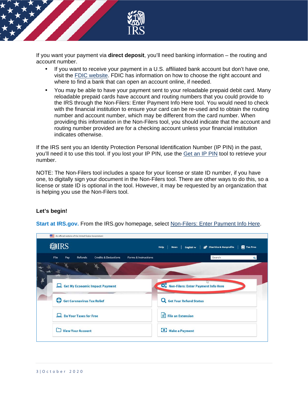

If you want your payment via **direct deposit**, you'll need banking information – the routing and account number.

- If you want to receive your payment in a U.S. affiliated bank account but don't have one, visit the [FDIC website.](https://www.fdic.gov/) FDIC has information on how to choose the right account and where to find a bank that can open an account online, if needed.
- You may be able to have your payment sent to your reloadable prepaid debit card. Many reloadable prepaid cards have account and routing numbers that you could provide to the IRS through the Non-Filers: Enter Payment Info Here tool. You would need to check with the financial institution to ensure your card can be re-used and to obtain the routing number and account number, which may be different from the card number. When providing this information in the Non-Filers tool, you should indicate that the account and routing number provided are for a checking account unless your financial institution indicates otherwise.

If the IRS sent you an Identity Protection Personal Identification Number (IP PIN) in the past, you'll need it to use this tool. If you lost your IP PIN, use the [Get an IP PIN](https://www.irs.gov/identity-theft-fraud-scams/get-an-identity-protection-pin) tool to retrieve your number.

NOTE: The Non-Filers tool includes a space for your license or state ID number, if you have one, to digitally sign your document in the Non-Filers tool. There are other ways to do this, so a license or state ID is optional in the tool. However, it may be requested by an organization that is helping you use the Non-Filers tool.

## **Let's begin!**



**Start at IRS.gov.** From the IRS.gov homepage, select [Non-Filers: Enter Payment Info Here.](https://www.irs.gov/coronavirus/non-filers-enter-payment-info-here)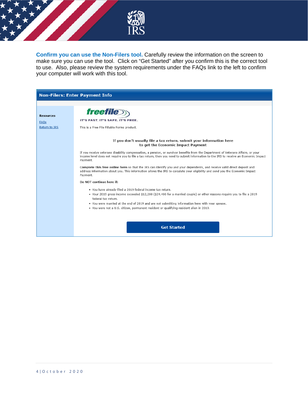

**Confirm you can use the Non-Filers tool.** Carefully review the information on the screen to make sure you can use the tool. Click on "Get Started" after you confirm this is the correct tool to use. Also, please review the system requirements under the FAQs link to the left to confirm your computer will work with this tool.

|                                                         | <b>Non-Filers: Enter Payment Info</b>                                                                                                                                                                                                                                                                                                                                                                     |
|---------------------------------------------------------|-----------------------------------------------------------------------------------------------------------------------------------------------------------------------------------------------------------------------------------------------------------------------------------------------------------------------------------------------------------------------------------------------------------|
|                                                         |                                                                                                                                                                                                                                                                                                                                                                                                           |
| <b>Resources</b><br><b>FAQs</b><br><b>Return to IRS</b> | <i><b>freefile</b></i><br>IT'S FAST. IT'S SAFE. IT'S FREE.<br>This is a Free File Fillable Forms product.                                                                                                                                                                                                                                                                                                 |
|                                                         | If you don't usually file a tax return, submit your information here<br>to get the Economic Impact Payment                                                                                                                                                                                                                                                                                                |
|                                                         | If you receive veterans disability compensation, a pension, or survivor benefits from the Department of Veterans Affairs, or your<br>income level does not require you to file a tax return, then you need to submit information to the IRS to receive an Economic Impact<br>Payment.                                                                                                                     |
|                                                         | Complete this free online form so that the IRS can identify you and your dependents, and receive valid direct deposit and<br>address information about you. This information allows the IRS to calculate your eligibility and send you the Economic Impact<br>Payment.                                                                                                                                    |
|                                                         | Do NOT continue here if:                                                                                                                                                                                                                                                                                                                                                                                  |
|                                                         | . You have already filed a 2019 federal income tax return.<br>• Your 2019 gross income exceeded \$12,200 (\$24,400 for a married couple) or other reasons require you to file a 2019<br>federal tax return.<br>. You were married at the end of 2019 and are not submitting information here with your spouse.<br>. You were not a U.S. citizen, permanent resident or qualifying resident alien in 2019. |
|                                                         | <b>Get Started</b>                                                                                                                                                                                                                                                                                                                                                                                        |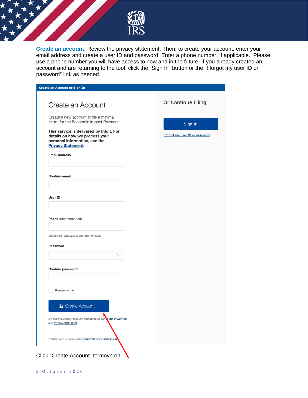

**Create an account.** Review the privacy statement. Then, to create your account, enter your email address and create a user ID and password. Enter a phone number, if applicable. Please use a phone number you will have access to now and in the future. If you already created an account and are returning to the tool, click the "Sign In" button or the "I forgot my user ID or password" link as needed.

| <b>Create an Account or Sign In</b>                                                                                                      |                                 |
|------------------------------------------------------------------------------------------------------------------------------------------|---------------------------------|
| Create an Account                                                                                                                        | Or Continue Filing              |
| Create a new account to file a minimal<br>return for the Economic Impact Payment.                                                        | Sign In                         |
| This service is delivered by Intuit. For<br>details on how we process your<br>personal information, see the<br><b>Privacy Statement.</b> | I forgot my user ID or password |
| <b>Email address</b>                                                                                                                     |                                 |
| Confirm email                                                                                                                            |                                 |
| User ID                                                                                                                                  |                                 |
| Phone (recommended)                                                                                                                      |                                 |
| Standard call, messaging or data rates may apply.                                                                                        |                                 |
| Password                                                                                                                                 |                                 |
| Confirm password                                                                                                                         |                                 |
| Remember me                                                                                                                              |                                 |
| <b>A</b> Create Account                                                                                                                  |                                 |
| By clicking Create Account, you agree to our Ferms of Service<br>and Privacy Statement.                                                  |                                 |
| Invisible reCAPTCHA by Google Privacy Policy and Terms of Use                                                                            |                                 |

Click "Create Account" to move on.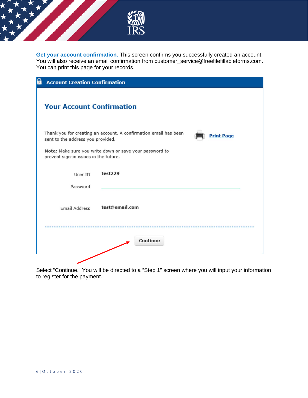

**Get your account confirmation.** This screen confirms you successfully created an account. You will also receive an email confirmation from customer\_service@freefilefillableforms.com. You can print this page for your records.

| Q | <b>Account Creation Confirmation</b>                                                                                       |                |  |  |  |  |  |
|---|----------------------------------------------------------------------------------------------------------------------------|----------------|--|--|--|--|--|
|   | <b>Your Account Confirmation</b>                                                                                           |                |  |  |  |  |  |
|   | Thank you for creating an account. A confirmation email has been<br><b>Print Page</b><br>sent to the address you provided. |                |  |  |  |  |  |
|   | Note: Make sure you write down or save your password to<br>prevent sign-in issues in the future.                           |                |  |  |  |  |  |
|   | User ID                                                                                                                    | test229        |  |  |  |  |  |
|   | Password                                                                                                                   |                |  |  |  |  |  |
|   | Email Address                                                                                                              | test@email.com |  |  |  |  |  |
|   |                                                                                                                            | Continue       |  |  |  |  |  |
|   |                                                                                                                            |                |  |  |  |  |  |

Select "Continue." You will be directed to a "Step 1" screen where you will input your information to register for the payment.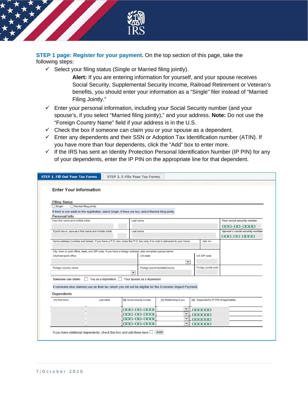

**STEP 1 page: Register for your payment.** On the top section of this page, take the following steps:

 $\checkmark$  Select your filing status (Single or Married filing jointly).

**Alert:** If you are entering information for yourself, and your spouse receives Social Security, Supplemental Security Income, Railroad Retirement or Veteran's benefits, you should enter your information as a "Single" filer instead of "Married Filing Jointly."

- $\checkmark$  Enter your personal information, including your Social Security number (and your spouse's, if you select "Married filing jointly)," and your address. **Note:** Do not use the "Foreign Country Name" field if your address is in the U.S.
- $\checkmark$  Check the box if someone can claim you or your spouse as a dependent.
- $\checkmark$  Enter any dependents and their SSN or Adoption Tax Identification number (ATIN). If you have more than four dependents, click the "Add" box to enter more.
- $\checkmark$  If the IRS has sent an Identity Protection Personal Identification Number (IP PIN) for any of your dependents, enter the IP PIN on the appropriate line for that dependent.

| <b>STEP 1. Fill Out Your Tax Forms</b>                  |                                                                                                  | STEP 2. E-File Your Tax Forms                                                                                           |                               |                     |                                        |  |  |
|---------------------------------------------------------|--------------------------------------------------------------------------------------------------|-------------------------------------------------------------------------------------------------------------------------|-------------------------------|---------------------|----------------------------------------|--|--|
|                                                         |                                                                                                  |                                                                                                                         |                               |                     |                                        |  |  |
| <b>Enter Your Information</b>                           |                                                                                                  |                                                                                                                         |                               |                     |                                        |  |  |
|                                                         |                                                                                                  |                                                                                                                         |                               |                     |                                        |  |  |
| <b>Filing Status</b>                                    |                                                                                                  |                                                                                                                         |                               |                     |                                        |  |  |
| $\bigcirc$ Single<br>Married filing jointly             |                                                                                                  |                                                                                                                         |                               |                     |                                        |  |  |
|                                                         |                                                                                                  | If there is one adult on this registration, select Single. If there are two, select Married filing jointly.             |                               |                     |                                        |  |  |
| Personal Info                                           |                                                                                                  |                                                                                                                         |                               |                     |                                        |  |  |
| Your first name and middle initial                      |                                                                                                  | Last name                                                                                                               |                               |                     | Your social security number            |  |  |
|                                                         |                                                                                                  |                                                                                                                         |                               |                     | 000-00-0000                            |  |  |
| If joint return, spouse's first name and middle initial |                                                                                                  | Last name                                                                                                               |                               |                     | Spouse's social security number        |  |  |
|                                                         |                                                                                                  |                                                                                                                         |                               |                     | 000-00-0000                            |  |  |
|                                                         |                                                                                                  | Home address (number and street). If you have a P.O. box, enter the P.O. box only if no mail is delivered to your home. |                               | Apt. no.            |                                        |  |  |
|                                                         |                                                                                                  |                                                                                                                         |                               |                     |                                        |  |  |
|                                                         |                                                                                                  | City, town or post office, state, and ZIP code. If you have a foreign address, also complete spaces below.              |                               |                     |                                        |  |  |
| City/town/post office                                   |                                                                                                  | US state                                                                                                                | US ZIP code                   |                     |                                        |  |  |
|                                                         |                                                                                                  |                                                                                                                         | $\check{~}$                   |                     |                                        |  |  |
| Foreign country name                                    |                                                                                                  |                                                                                                                         | Foreign province/state/county | Foreign postal code |                                        |  |  |
|                                                         |                                                                                                  | $\checkmark$                                                                                                            |                               |                     |                                        |  |  |
| Someone can claim:                                      | You as a dependent                                                                               | Your spouse as a dependent                                                                                              |                               |                     |                                        |  |  |
|                                                         |                                                                                                  |                                                                                                                         |                               |                     |                                        |  |  |
|                                                         |                                                                                                  | If someone else claimed you on their tax return you will not be eligible for the Economic Impact Payment.               |                               |                     |                                        |  |  |
| <b>Dependents</b>                                       |                                                                                                  |                                                                                                                         |                               |                     |                                        |  |  |
| (1) First name                                          | (2) Social security number<br>(3) Relationship to you<br>Last name<br>$\check{~}$<br>000-00-000( |                                                                                                                         |                               |                     | (4) Dependent's IP PIN (if applicable) |  |  |
|                                                         |                                                                                                  |                                                                                                                         | 000000                        |                     |                                        |  |  |
|                                                         |                                                                                                  | 000-00-0000                                                                                                             | $\check{~}$<br>000000         |                     |                                        |  |  |
|                                                         |                                                                                                  | 000-00-000(                                                                                                             | $\check{~}$<br>000000         |                     |                                        |  |  |
|                                                         | 000-00-000(<br>$\checkmark$<br>000000                                                            |                                                                                                                         |                               |                     |                                        |  |  |
|                                                         |                                                                                                  |                                                                                                                         |                               |                     |                                        |  |  |
|                                                         |                                                                                                  | If you have additional dependents, check this box and add them here $\Box$                                              | Add                           |                     |                                        |  |  |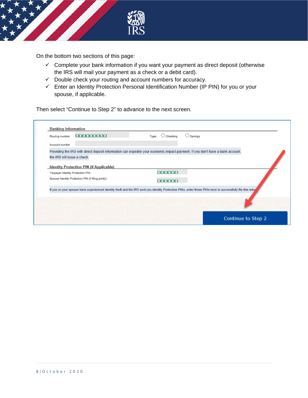

On the bottom two sections of this page:

- $\checkmark$  Complete your bank information if you want your payment as direct deposit (otherwise the IRS will mail your payment as a check or a debit card).
- $\checkmark$  Double check your routing and account numbers for accuracy.
- $\checkmark$  Enter an Identity Protection Personal Identification Number (IP PIN) for you or your spouse, if applicable.

Then select "Continue to Step 2" to advance to the next screen.

| Routing number                                     | 000000000                                      | Checking<br>Type: | Savings                                                                                                                                                    |
|----------------------------------------------------|------------------------------------------------|-------------------|------------------------------------------------------------------------------------------------------------------------------------------------------------|
| Account number                                     |                                                |                   |                                                                                                                                                            |
|                                                    |                                                |                   | Providing the IRS with direct deposit information can expedite your economic impact payment. If you don't have a bank account,                             |
| the IRS will issue a check.                        |                                                |                   |                                                                                                                                                            |
| Taxpayer Identity Protection PIN                   | <b>Identity Protection PIN (if Applicable)</b> | 000000            |                                                                                                                                                            |
|                                                    |                                                |                   |                                                                                                                                                            |
| Spouse Identity Protection PIN (if filing jointly) |                                                | 000000            |                                                                                                                                                            |
|                                                    |                                                |                   | If you or your spouse have experienced identity theft and the IRS sent you Identity Protection PINs, enter those PINs here to successfully file this retur |
|                                                    |                                                |                   |                                                                                                                                                            |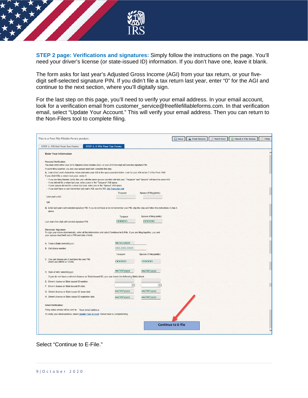

**STEP 2 page: Verifications and signatures:** Simply follow the instructions on the page. You'll need your driver's license (or state-issued ID) information. If you don't have one, leave it blank.

The form asks for last year's Adjusted Gross Income (AGI) from your tax return, or your fivedigit self-selected signature PIN. If you didn't file a tax return last year, enter "0" for the AGI and continue to the next section, where you'll digitally sign.

For the last step on this page, you'll need to verify your email address. In your email account, look for a verification email from customer\_service@freefilefillableforms.com. In that verification email, select "Update Your Account." This will verify your email address. Then you can return to the Non-Filers tool to complete filing.

| <b>STEP 2. E-File Your Tax Forms</b><br>STEP 1. Fill Out Your Tax Forms<br><b>Enter Your Information</b><br><b>Personal Verification</b><br>You must enter either your 2018 Adjusted Gross Income (AGI), or your 2018 five-digit self-selected signature PIN.<br>If you're filing together, you and your spouse must both complete this step.<br>A. Look at last year's federal tax return and enter your AGI in the space provided below. Look for your AGI on line 7 of the Form 1040<br>If you didn't file a return last year, enter 0.<br>- If you are filing Married Jointly this year with the same spouse you filed with last year, "Taxpayer" and "Spouse" will have the same AGI.<br>- If you did not file a return last year, enter a zero in the "Taxpayer" AGI space.<br>- If your spouse did not file a return last year, enter zero in the "Spouse" AGI space.<br>- If you don't have or can't remember last year's AGI, use the IRS_Get Transcript Link<br>Spouse (if filing jointly)<br>Taxpayer<br>Last year's AGI:<br>OR<br>B. Enter last year's self-selected signature PIN. If you do not have or do not remember your PIN, skip this step and follow the instructions in step A<br>above.<br>Spouse (if filing jointly)<br>Taxpayor<br>00000<br>00000<br>Last year's five-digit self-selected signature PIN.<br><b>Electronic Signature</b><br>To sign your return olectronically, enter all the information and select Continue to E-File. If you are filing together, you and<br>your spouse must both add a PIN and date of birth.<br>08/25/2020<br>A Today's Date (mm/dd/yyyy)<br>*** *** ****<br><b>B.</b> Cell phone number<br>Taxpayer<br>Spouse (if filing jointly)<br>C. You can choose any 5 numbers for your PIN.<br>00000<br>00000<br>(Don't use 00000 or 12345)<br>$=\frac{1}{d}$<br>mm/dd/yyyy<br>D. Date of birth (mm/dd/yyyy)<br>If you do not have a driver's license or State issued ID, you can leave the following fields blank.<br>E. Driver's license or State issued ID number<br>$\overline{\mathbf{v}}$<br>$\overline{\mathbf{v}}$<br>F. Driver's license or State Issued ID state<br>mm/dd/yyyy<br>mm/dd/yyyy<br>G. Driver's license or State issued ID issue date<br>H. Driver's license or State issued ID expiration date<br>mm/dd/yyyy<br>mm/dd/yyyy<br><b>Email Ventication</b><br>Filing status emails will be sent to: Your email address<br>To verify your email address, select Update Your Account. Return here to complete filing.<br><b>Continue to E-file</b> | This is a Free File Fillable Forms product. |  | Save<br><b>Print Return</b> | <b>Start Over</b> | Check E-File Status<br>FAQ <sub>s</sub> |
|---------------------------------------------------------------------------------------------------------------------------------------------------------------------------------------------------------------------------------------------------------------------------------------------------------------------------------------------------------------------------------------------------------------------------------------------------------------------------------------------------------------------------------------------------------------------------------------------------------------------------------------------------------------------------------------------------------------------------------------------------------------------------------------------------------------------------------------------------------------------------------------------------------------------------------------------------------------------------------------------------------------------------------------------------------------------------------------------------------------------------------------------------------------------------------------------------------------------------------------------------------------------------------------------------------------------------------------------------------------------------------------------------------------------------------------------------------------------------------------------------------------------------------------------------------------------------------------------------------------------------------------------------------------------------------------------------------------------------------------------------------------------------------------------------------------------------------------------------------------------------------------------------------------------------------------------------------------------------------------------------------------------------------------------------------------------------------------------------------------------------------------------------------------------------------------------------------------------------------------------------------------------------------------------------------------------------------------------------------------------------------------------------------------------------------------------------------------------------------------------------------------------------|---------------------------------------------|--|-----------------------------|-------------------|-----------------------------------------|
|                                                                                                                                                                                                                                                                                                                                                                                                                                                                                                                                                                                                                                                                                                                                                                                                                                                                                                                                                                                                                                                                                                                                                                                                                                                                                                                                                                                                                                                                                                                                                                                                                                                                                                                                                                                                                                                                                                                                                                                                                                                                                                                                                                                                                                                                                                                                                                                                                                                                                                                           |                                             |  |                             |                   |                                         |
|                                                                                                                                                                                                                                                                                                                                                                                                                                                                                                                                                                                                                                                                                                                                                                                                                                                                                                                                                                                                                                                                                                                                                                                                                                                                                                                                                                                                                                                                                                                                                                                                                                                                                                                                                                                                                                                                                                                                                                                                                                                                                                                                                                                                                                                                                                                                                                                                                                                                                                                           |                                             |  |                             |                   |                                         |
|                                                                                                                                                                                                                                                                                                                                                                                                                                                                                                                                                                                                                                                                                                                                                                                                                                                                                                                                                                                                                                                                                                                                                                                                                                                                                                                                                                                                                                                                                                                                                                                                                                                                                                                                                                                                                                                                                                                                                                                                                                                                                                                                                                                                                                                                                                                                                                                                                                                                                                                           |                                             |  |                             |                   |                                         |
|                                                                                                                                                                                                                                                                                                                                                                                                                                                                                                                                                                                                                                                                                                                                                                                                                                                                                                                                                                                                                                                                                                                                                                                                                                                                                                                                                                                                                                                                                                                                                                                                                                                                                                                                                                                                                                                                                                                                                                                                                                                                                                                                                                                                                                                                                                                                                                                                                                                                                                                           |                                             |  |                             |                   |                                         |
|                                                                                                                                                                                                                                                                                                                                                                                                                                                                                                                                                                                                                                                                                                                                                                                                                                                                                                                                                                                                                                                                                                                                                                                                                                                                                                                                                                                                                                                                                                                                                                                                                                                                                                                                                                                                                                                                                                                                                                                                                                                                                                                                                                                                                                                                                                                                                                                                                                                                                                                           |                                             |  |                             |                   |                                         |
|                                                                                                                                                                                                                                                                                                                                                                                                                                                                                                                                                                                                                                                                                                                                                                                                                                                                                                                                                                                                                                                                                                                                                                                                                                                                                                                                                                                                                                                                                                                                                                                                                                                                                                                                                                                                                                                                                                                                                                                                                                                                                                                                                                                                                                                                                                                                                                                                                                                                                                                           |                                             |  |                             |                   |                                         |
|                                                                                                                                                                                                                                                                                                                                                                                                                                                                                                                                                                                                                                                                                                                                                                                                                                                                                                                                                                                                                                                                                                                                                                                                                                                                                                                                                                                                                                                                                                                                                                                                                                                                                                                                                                                                                                                                                                                                                                                                                                                                                                                                                                                                                                                                                                                                                                                                                                                                                                                           |                                             |  |                             |                   |                                         |
|                                                                                                                                                                                                                                                                                                                                                                                                                                                                                                                                                                                                                                                                                                                                                                                                                                                                                                                                                                                                                                                                                                                                                                                                                                                                                                                                                                                                                                                                                                                                                                                                                                                                                                                                                                                                                                                                                                                                                                                                                                                                                                                                                                                                                                                                                                                                                                                                                                                                                                                           |                                             |  |                             |                   |                                         |
|                                                                                                                                                                                                                                                                                                                                                                                                                                                                                                                                                                                                                                                                                                                                                                                                                                                                                                                                                                                                                                                                                                                                                                                                                                                                                                                                                                                                                                                                                                                                                                                                                                                                                                                                                                                                                                                                                                                                                                                                                                                                                                                                                                                                                                                                                                                                                                                                                                                                                                                           |                                             |  |                             |                   |                                         |
|                                                                                                                                                                                                                                                                                                                                                                                                                                                                                                                                                                                                                                                                                                                                                                                                                                                                                                                                                                                                                                                                                                                                                                                                                                                                                                                                                                                                                                                                                                                                                                                                                                                                                                                                                                                                                                                                                                                                                                                                                                                                                                                                                                                                                                                                                                                                                                                                                                                                                                                           |                                             |  |                             |                   |                                         |
|                                                                                                                                                                                                                                                                                                                                                                                                                                                                                                                                                                                                                                                                                                                                                                                                                                                                                                                                                                                                                                                                                                                                                                                                                                                                                                                                                                                                                                                                                                                                                                                                                                                                                                                                                                                                                                                                                                                                                                                                                                                                                                                                                                                                                                                                                                                                                                                                                                                                                                                           |                                             |  |                             |                   |                                         |
|                                                                                                                                                                                                                                                                                                                                                                                                                                                                                                                                                                                                                                                                                                                                                                                                                                                                                                                                                                                                                                                                                                                                                                                                                                                                                                                                                                                                                                                                                                                                                                                                                                                                                                                                                                                                                                                                                                                                                                                                                                                                                                                                                                                                                                                                                                                                                                                                                                                                                                                           |                                             |  |                             |                   |                                         |
|                                                                                                                                                                                                                                                                                                                                                                                                                                                                                                                                                                                                                                                                                                                                                                                                                                                                                                                                                                                                                                                                                                                                                                                                                                                                                                                                                                                                                                                                                                                                                                                                                                                                                                                                                                                                                                                                                                                                                                                                                                                                                                                                                                                                                                                                                                                                                                                                                                                                                                                           |                                             |  |                             |                   |                                         |
|                                                                                                                                                                                                                                                                                                                                                                                                                                                                                                                                                                                                                                                                                                                                                                                                                                                                                                                                                                                                                                                                                                                                                                                                                                                                                                                                                                                                                                                                                                                                                                                                                                                                                                                                                                                                                                                                                                                                                                                                                                                                                                                                                                                                                                                                                                                                                                                                                                                                                                                           |                                             |  |                             |                   |                                         |
|                                                                                                                                                                                                                                                                                                                                                                                                                                                                                                                                                                                                                                                                                                                                                                                                                                                                                                                                                                                                                                                                                                                                                                                                                                                                                                                                                                                                                                                                                                                                                                                                                                                                                                                                                                                                                                                                                                                                                                                                                                                                                                                                                                                                                                                                                                                                                                                                                                                                                                                           |                                             |  |                             |                   |                                         |
|                                                                                                                                                                                                                                                                                                                                                                                                                                                                                                                                                                                                                                                                                                                                                                                                                                                                                                                                                                                                                                                                                                                                                                                                                                                                                                                                                                                                                                                                                                                                                                                                                                                                                                                                                                                                                                                                                                                                                                                                                                                                                                                                                                                                                                                                                                                                                                                                                                                                                                                           |                                             |  |                             |                   |                                         |
|                                                                                                                                                                                                                                                                                                                                                                                                                                                                                                                                                                                                                                                                                                                                                                                                                                                                                                                                                                                                                                                                                                                                                                                                                                                                                                                                                                                                                                                                                                                                                                                                                                                                                                                                                                                                                                                                                                                                                                                                                                                                                                                                                                                                                                                                                                                                                                                                                                                                                                                           |                                             |  |                             |                   |                                         |
|                                                                                                                                                                                                                                                                                                                                                                                                                                                                                                                                                                                                                                                                                                                                                                                                                                                                                                                                                                                                                                                                                                                                                                                                                                                                                                                                                                                                                                                                                                                                                                                                                                                                                                                                                                                                                                                                                                                                                                                                                                                                                                                                                                                                                                                                                                                                                                                                                                                                                                                           |                                             |  |                             |                   |                                         |
|                                                                                                                                                                                                                                                                                                                                                                                                                                                                                                                                                                                                                                                                                                                                                                                                                                                                                                                                                                                                                                                                                                                                                                                                                                                                                                                                                                                                                                                                                                                                                                                                                                                                                                                                                                                                                                                                                                                                                                                                                                                                                                                                                                                                                                                                                                                                                                                                                                                                                                                           |                                             |  |                             |                   |                                         |
|                                                                                                                                                                                                                                                                                                                                                                                                                                                                                                                                                                                                                                                                                                                                                                                                                                                                                                                                                                                                                                                                                                                                                                                                                                                                                                                                                                                                                                                                                                                                                                                                                                                                                                                                                                                                                                                                                                                                                                                                                                                                                                                                                                                                                                                                                                                                                                                                                                                                                                                           |                                             |  |                             |                   |                                         |
|                                                                                                                                                                                                                                                                                                                                                                                                                                                                                                                                                                                                                                                                                                                                                                                                                                                                                                                                                                                                                                                                                                                                                                                                                                                                                                                                                                                                                                                                                                                                                                                                                                                                                                                                                                                                                                                                                                                                                                                                                                                                                                                                                                                                                                                                                                                                                                                                                                                                                                                           |                                             |  |                             |                   |                                         |
|                                                                                                                                                                                                                                                                                                                                                                                                                                                                                                                                                                                                                                                                                                                                                                                                                                                                                                                                                                                                                                                                                                                                                                                                                                                                                                                                                                                                                                                                                                                                                                                                                                                                                                                                                                                                                                                                                                                                                                                                                                                                                                                                                                                                                                                                                                                                                                                                                                                                                                                           |                                             |  |                             |                   |                                         |
|                                                                                                                                                                                                                                                                                                                                                                                                                                                                                                                                                                                                                                                                                                                                                                                                                                                                                                                                                                                                                                                                                                                                                                                                                                                                                                                                                                                                                                                                                                                                                                                                                                                                                                                                                                                                                                                                                                                                                                                                                                                                                                                                                                                                                                                                                                                                                                                                                                                                                                                           |                                             |  |                             |                   |                                         |
|                                                                                                                                                                                                                                                                                                                                                                                                                                                                                                                                                                                                                                                                                                                                                                                                                                                                                                                                                                                                                                                                                                                                                                                                                                                                                                                                                                                                                                                                                                                                                                                                                                                                                                                                                                                                                                                                                                                                                                                                                                                                                                                                                                                                                                                                                                                                                                                                                                                                                                                           |                                             |  |                             |                   |                                         |
|                                                                                                                                                                                                                                                                                                                                                                                                                                                                                                                                                                                                                                                                                                                                                                                                                                                                                                                                                                                                                                                                                                                                                                                                                                                                                                                                                                                                                                                                                                                                                                                                                                                                                                                                                                                                                                                                                                                                                                                                                                                                                                                                                                                                                                                                                                                                                                                                                                                                                                                           |                                             |  |                             |                   |                                         |
|                                                                                                                                                                                                                                                                                                                                                                                                                                                                                                                                                                                                                                                                                                                                                                                                                                                                                                                                                                                                                                                                                                                                                                                                                                                                                                                                                                                                                                                                                                                                                                                                                                                                                                                                                                                                                                                                                                                                                                                                                                                                                                                                                                                                                                                                                                                                                                                                                                                                                                                           |                                             |  |                             |                   |                                         |
|                                                                                                                                                                                                                                                                                                                                                                                                                                                                                                                                                                                                                                                                                                                                                                                                                                                                                                                                                                                                                                                                                                                                                                                                                                                                                                                                                                                                                                                                                                                                                                                                                                                                                                                                                                                                                                                                                                                                                                                                                                                                                                                                                                                                                                                                                                                                                                                                                                                                                                                           |                                             |  |                             |                   |                                         |
|                                                                                                                                                                                                                                                                                                                                                                                                                                                                                                                                                                                                                                                                                                                                                                                                                                                                                                                                                                                                                                                                                                                                                                                                                                                                                                                                                                                                                                                                                                                                                                                                                                                                                                                                                                                                                                                                                                                                                                                                                                                                                                                                                                                                                                                                                                                                                                                                                                                                                                                           |                                             |  |                             |                   |                                         |

Select "Continue to E-File."